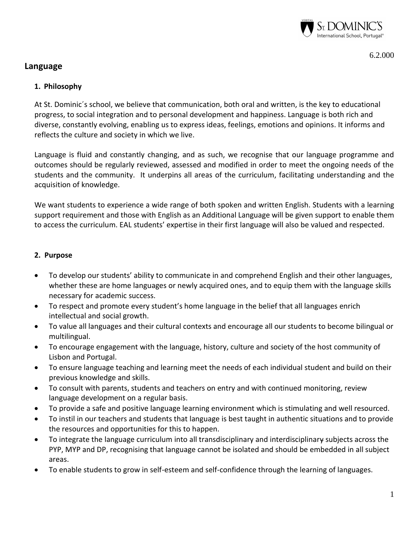

6.2.000

# **Language**

## **1. Philosophy**

At St. Dominic´s school, we believe that communication, both oral and written, is the key to educational progress, to social integration and to personal development and happiness. Language is both rich and diverse, constantly evolving, enabling us to express ideas, feelings, emotions and opinions. It informs and reflects the culture and society in which we live.

Language is fluid and constantly changing, and as such, we recognise that our language programme and outcomes should be regularly reviewed, assessed and modified in order to meet the ongoing needs of the students and the community. It underpins all areas of the curriculum, facilitating understanding and the acquisition of knowledge.

We want students to experience a wide range of both spoken and written English. Students with a learning support requirement and those with English as an Additional Language will be given support to enable them to access the curriculum. EAL students' expertise in their first language will also be valued and respected.

### **2. Purpose**

- To develop our students' ability to communicate in and comprehend English and their other languages, whether these are home languages or newly acquired ones, and to equip them with the language skills necessary for academic success.
- To respect and promote every student's home language in the belief that all languages enrich intellectual and social growth.
- To value all languages and their cultural contexts and encourage all our students to become bilingual or multilingual.
- To encourage engagement with the language, history, culture and society of the host community of Lisbon and Portugal.
- To ensure language teaching and learning meet the needs of each individual student and build on their previous knowledge and skills.
- To consult with parents, students and teachers on entry and with continued monitoring, review language development on a regular basis.
- To provide a safe and positive language learning environment which is stimulating and well resourced.
- To instil in our teachers and students that language is best taught in authentic situations and to provide the resources and opportunities for this to happen.
- To integrate the language curriculum into all transdisciplinary and interdisciplinary subjects across the PYP, MYP and DP, recognising that language cannot be isolated and should be embedded in all subject areas.
- To enable students to grow in self-esteem and self-confidence through the learning of languages.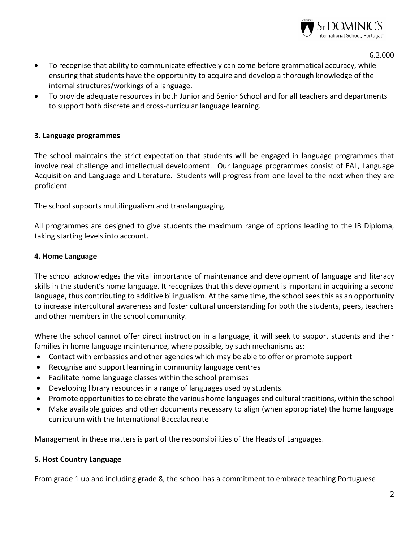

6.2.000

- To recognise that ability to communicate effectively can come before grammatical accuracy, while ensuring that students have the opportunity to acquire and develop a thorough knowledge of the internal structures/workings of a language.
- To provide adequate resources in both Junior and Senior School and for all teachers and departments to support both discrete and cross-curricular language learning.

#### **3. Language programmes**

The school maintains the strict expectation that students will be engaged in language programmes that involve real challenge and intellectual development. Our language programmes consist of EAL, Language Acquisition and Language and Literature. Students will progress from one level to the next when they are proficient.

The school supports multilingualism and translanguaging.

All programmes are designed to give students the maximum range of options leading to the IB Diploma, taking starting levels into account.

#### **4. Home Language**

The school acknowledges the vital importance of maintenance and development of language and literacy skills in the student's home language. It recognizes that this development is important in acquiring a second language, thus contributing to additive bilingualism. At the same time, the school sees this as an opportunity to increase intercultural awareness and foster cultural understanding for both the students, peers, teachers and other members in the school community.

Where the school cannot offer direct instruction in a language, it will seek to support students and their families in home language maintenance, where possible, by such mechanisms as:

- Contact with embassies and other agencies which may be able to offer or promote support
- Recognise and support learning in community language centres
- Facilitate home language classes within the school premises
- Developing library resources in a range of languages used by students.
- Promote opportunities to celebrate the various home languages and cultural traditions, within the school
- Make available guides and other documents necessary to align (when appropriate) the home language curriculum with the International Baccalaureate

Management in these matters is part of the responsibilities of the Heads of Languages.

#### **5. Host Country Language**

From grade 1 up and including grade 8, the school has a commitment to embrace teaching Portuguese